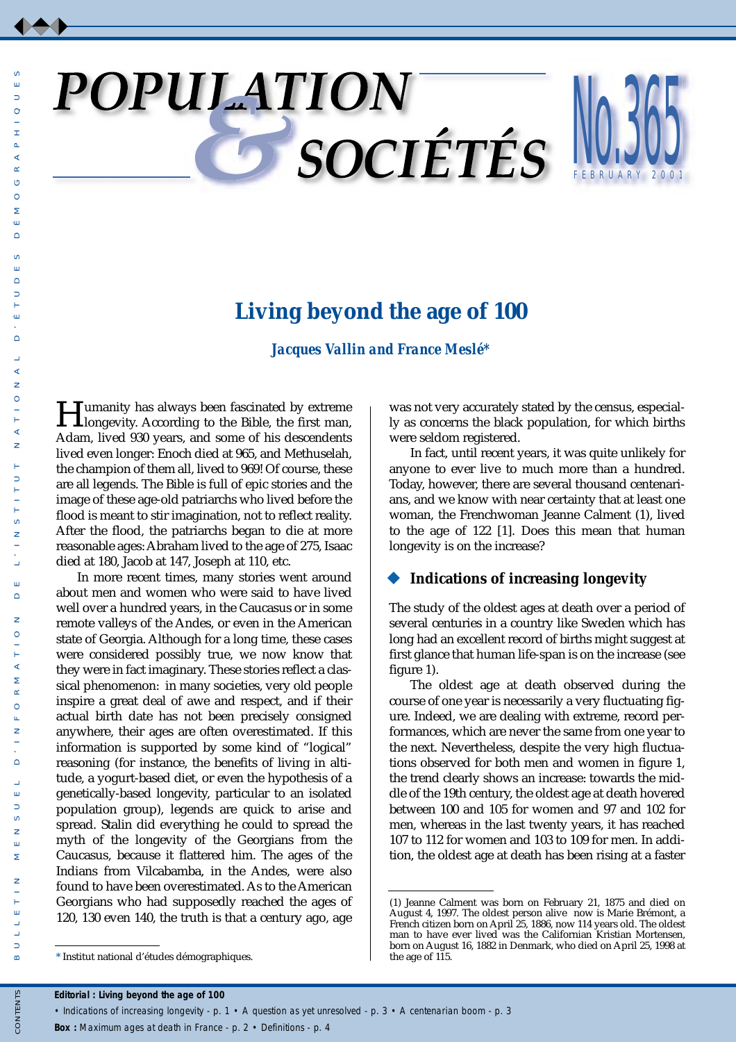# POPULATION

# NU. FEBR U ARY 200 365 1

# **Living beyond the age of 100**

*Jacques Vallin and France Meslé\**

**Humanity has always been fascinated by extreme**<br>longevity. According to the Bible, the first man, Adam, lived 930 years, and some of his descendents lived even longer: Enoch died at 965, and Methuselah, the champion of them all, lived to 969! Of course, these are all legends. The Bible is full of epic stories and the image of these age-old patriarchs who lived before the flood is meant to stir imagination, not to reflect reality. After the flood, the patriarchs began to die at more reasonable ages: Abraham lived to the age of 275, Isaac died at 180, Jacob at 147, Joseph at 110, etc.

In more recent times, many stories went around about men and women who were said to have lived well over a hundred years, in the Caucasus or in some remote valleys of the Andes, or even in the American state of Georgia. Although for a long time, these cases were considered possibly true, we now know that they were in fact imaginary. These stories reflect a classical phenomenon: in many societies, very old people inspire a great deal of awe and respect, and if their actual birth date has not been precisely consigned anywhere, their ages are often overestimated. If this information is supported by some kind of "logical" reasoning (for instance, the benefits of living in altitude, a yogurt-based diet, or even the hypothesis of a genetically-based longevity, particular to an isolated population group), legends are quick to arise and spread. Stalin did everything he could to spread the myth of the longevity of the Georgians from the Caucasus, because it flattered him. The ages of the Indians from Vilcabamba, in the Andes, were also found to have been overestimated. As to the American Georgians who had supposedly reached the ages of 120, 130 even 140, the truth is that a century ago, age was not very accurately stated by the census, especially as concerns the black population, for which births were seldom registered.

In fact, until recent years, it was quite unlikely for anyone to ever live to much more than a hundred. Today, however, there are several thousand centenarians, and we know with near certainty that at least one woman, the Frenchwoman Jeanne Calment (1), lived to the age of 122 [1]. Does this mean that human longevity is on the increase?

## **Indications of increasing longevity**

The study of the oldest ages at death over a period of several centuries in a country like Sweden which has long had an excellent record of births might suggest at first glance that human life-span is on the increase (see figure 1).

The oldest age at death observed during the course of one year is necessarily a very fluctuating figure. Indeed, we are dealing with extreme, record performances, which are never the same from one year to the next. Nevertheless, despite the very high fluctuations observed for both men and women in figure 1, the trend clearly shows an increase: towards the middle of the 19th century, the oldest age at death hovered between 100 and 105 for women and 97 and 102 for men, whereas in the last twenty years, it has reached 107 to 112 for women and 103 to 109 for men. In addition, the oldest age at death has been rising at a faster

 $\omega$  $\Rightarrow$ 

*Box :* Maximum ages at death in France - p. 2 • Definitions - p. 4

<sup>(1)</sup> Jeanne Calment was born on February 21, 1875 and died on August 4, 1997. The oldest person alive now is Marie Brémont, a French citizen born on April 25, 1886, now 114 years old. The oldest man to have ever lived was the Californian Kristian Mortensen, born on August 16, 1882 in Denmark, who died on April 25, 1998 at

<sup>\*</sup> Institut national d'études démographiques.

*<sup>•</sup> Indications of increasing longevity - p. 1 • A question as yet unresolved - p. 3 • A centenarian boom - p. 3*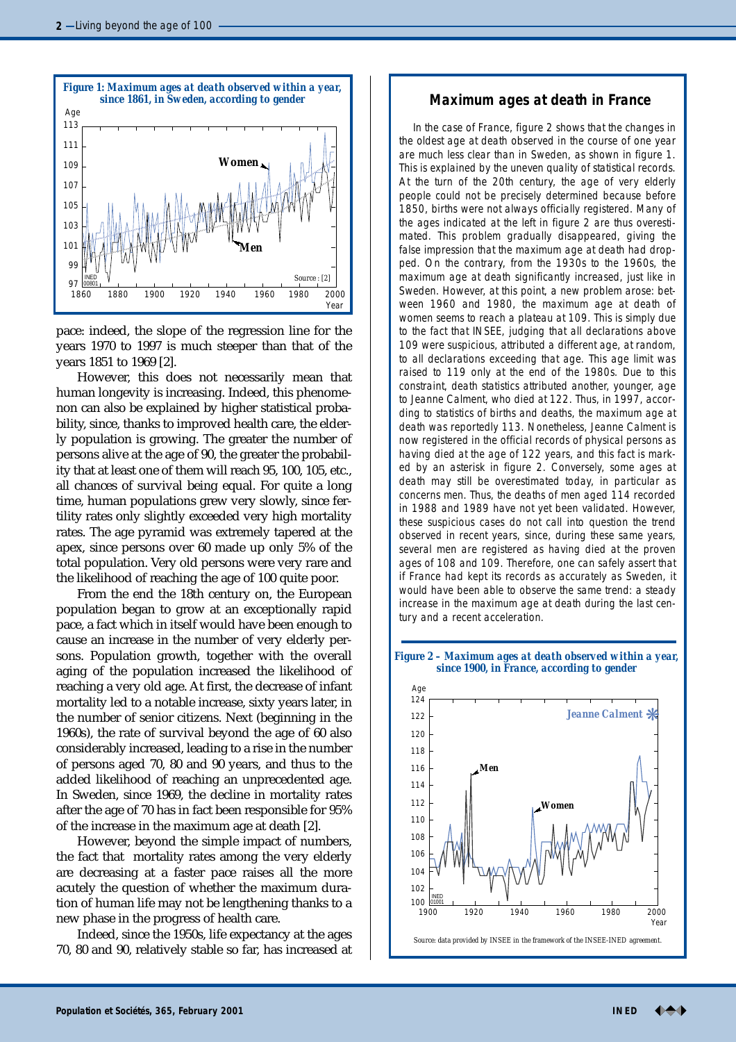

pace: indeed, the slope of the regression line for the years 1970 to 1997 is much steeper than that of the years 1851 to 1969 [2].

However, this does not necessarily mean that human longevity is increasing. Indeed, this phenomenon can also be explained by higher statistical probability, since, thanks to improved health care, the elderly population is growing. The greater the number of persons alive at the age of 90, the greater the probability that at least one of them will reach 95, 100, 105, etc., all chances of survival being equal. For quite a long time, human populations grew very slowly, since fertility rates only slightly exceeded very high mortality rates. The age pyramid was extremely tapered at the apex, since persons over 60 made up only 5% of the total population. Very old persons were very rare and the likelihood of reaching the age of 100 quite poor.

From the end the 18th century on, the European population began to grow at an exceptionally rapid pace, a fact which in itself would have been enough to cause an increase in the number of very elderly persons. Population growth, together with the overall aging of the population increased the likelihood of reaching a very old age. At first, the decrease of infant mortality led to a notable increase, sixty years later, in the number of senior citizens. Next (beginning in the 1960s), the rate of survival beyond the age of 60 also considerably increased, leading to a rise in the number of persons aged 70, 80 and 90 years, and thus to the added likelihood of reaching an unprecedented age. In Sweden, since 1969, the decline in mortality rates after the age of 70 has in fact been responsible for 95% of the increase in the maximum age at death [2].

However, beyond the simple impact of numbers, the fact that mortality rates among the very elderly are decreasing at a faster pace raises all the more acutely the question of whether the maximum duration of human life may not be lengthening thanks to a new phase in the progress of health care.

Indeed, since the 1950s, life expectancy at the ages 70, 80 and 90, relatively stable so far, has increased at

### *since 1861, in Sweden, according to gender* **Maximum ages at death in France**

In the case of France, figure 2 shows that the changes in the oldest age at death observed in the course of one year are much less clear than in Sweden, as shown in figure 1. This is explained by the uneven quality of statistical records. At the turn of the 20th century, the age of very elderly people could not be precisely determined because before 1850, births were not always officially registered. Many of the ages indicated at the left in figure 2 are thus overestimated. This problem gradually disappeared, giving the false impression that the maximum age at death had dropped. On the contrary, from the 1930s to the 1960s, the maximum age at death significantly increased, just like in Sweden. However, at this point, a new problem arose: between 1960 and 1980, the maximum age at death of women seems to reach a plateau at 109. This is simply due to the fact that INSEE, judging that all declarations above 109 were suspicious, attributed a different age, at random, to all declarations exceeding that age. This age limit was raised to 119 only at the end of the 1980s. Due to this constraint, death statistics attributed another, younger, age to Jeanne Calment, who died at 122. Thus, in 1997, according to statistics of births and deaths, the maximum age at death was reportedly 113. Nonetheless, Jeanne Calment is now registered in the official records of physical persons as having died at the age of 122 years, and this fact is marked by an asterisk in figure 2. Conversely, some ages at death may still be overestimated today, in particular as concerns men. Thus, the deaths of men aged 114 recorded in 1988 and 1989 have not yet been validated. However, these suspicious cases do not call into question the trend observed in recent years, since, during these same years, several men are registered as having died at the proven ages of 108 and 109. Therefore, one can safely assert that if France had kept its records as accurately as Sweden, it would have been able to observe the same trend: a steady increase in the maximum age at death during the last century and a recent acceleration.

#### *Figure 2 – Maximum ages at death observed within a year, since 1900, in France, according to gender*

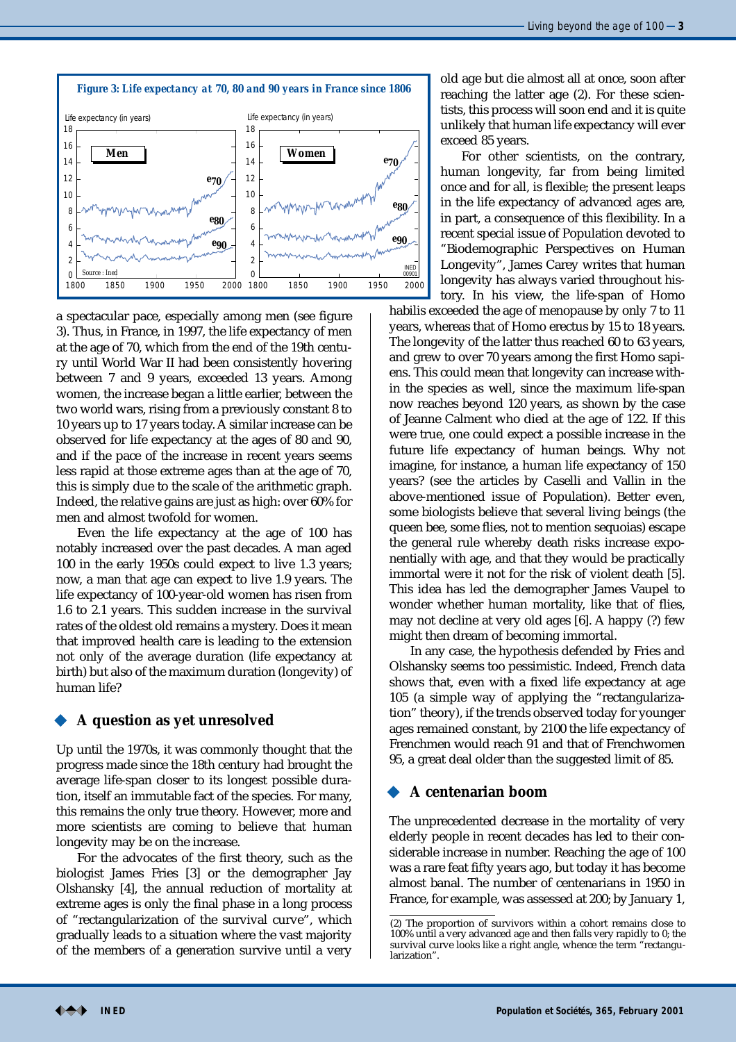

a spectacular pace, especially among men (see figure 3). Thus, in France, in 1997, the life expectancy of men at the age of 70, which from the end of the 19th century until World War II had been consistently hovering between 7 and 9 years, exceeded 13 years. Among women, the increase began a little earlier, between the two world wars, rising from a previously constant 8 to 10 years up to 17 years today. A similar increase can be observed for life expectancy at the ages of 80 and 90, and if the pace of the increase in recent years seems less rapid at those extreme ages than at the age of 70, this is simply due to the scale of the arithmetic graph. Indeed, the relative gains are just as high: over 60% for men and almost twofold for women.

Even the life expectancy at the age of 100 has notably increased over the past decades. A man aged 100 in the early 1950s could expect to live 1.3 years; now, a man that age can expect to live 1.9 years. The life expectancy of 100-year-old women has risen from 1.6 to 2.1 years. This sudden increase in the survival rates of the oldest old remains a mystery. Does it mean that improved health care is leading to the extension not only of the average duration (life expectancy at birth) but also of the maximum duration (longevity) of human life?

## **A question as yet unresolved**

Up until the 1970s, it was commonly thought that the progress made since the 18th century had brought the average life-span closer to its longest possible duration, itself an immutable fact of the species. For many, this remains the only true theory. However, more and more scientists are coming to believe that human longevity may be on the increase.

For the advocates of the first theory, such as the biologist James Fries [3] or the demographer Jay Olshansky [4], the annual reduction of mortality at extreme ages is only the final phase in a long process of "rectangularization of the survival curve", which gradually leads to a situation where the vast majority of the members of a generation survive until a very old age but die almost all at once, soon after reaching the latter age (2). For these scientists, this process will soon end and it is quite unlikely that human life expectancy will ever exceed 85 years.

For other scientists, on the contrary, human longevity, far from being limited once and for all, is flexible; the present leaps in the life expectancy of advanced ages are, in part, a consequence of this flexibility. In a recent special issue of Population devoted to "Biodemographic Perspectives on Human Longevity", James Carey writes that human longevity has always varied throughout history. In his view, the life-span of Homo

habilis exceeded the age of menopause by only 7 to 11 years, whereas that of Homo erectus by 15 to 18 years. The longevity of the latter thus reached 60 to 63 years, and grew to over 70 years among the first Homo sapiens. This could mean that longevity can increase within the species as well, since the maximum life-span now reaches beyond 120 years, as shown by the case of Jeanne Calment who died at the age of 122. If this were true, one could expect a possible increase in the future life expectancy of human beings. Why not imagine, for instance, a human life expectancy of 150 years? (see the articles by Caselli and Vallin in the above-mentioned issue of Population). Better even, some biologists believe that several living beings (the queen bee, some flies, not to mention sequoias) escape the general rule whereby death risks increase exponentially with age, and that they would be practically immortal were it not for the risk of violent death [5]. This idea has led the demographer James Vaupel to wonder whether human mortality, like that of flies, may not decline at very old ages [6]. A happy (?) few might then dream of becoming immortal.

In any case, the hypothesis defended by Fries and Olshansky seems too pessimistic. Indeed, French data shows that, even with a fixed life expectancy at age 105 (a simple way of applying the "rectangularization" theory), if the trends observed today for younger ages remained constant, by 2100 the life expectancy of Frenchmen would reach 91 and that of Frenchwomen 95, a great deal older than the suggested limit of 85.

# **A centenarian boom**

The unprecedented decrease in the mortality of very elderly people in recent decades has led to their considerable increase in number. Reaching the age of 100 was a rare feat fifty years ago, but today it has become almost banal. The number of centenarians in 1950 in France, for example, was assessed at 200; by January 1,

<sup>(2)</sup> The proportion of survivors within a cohort remains close to 100% until a very advanced age and then falls very rapidly to 0; the survival curve looks like a right angle, whence the term "rectangularization".